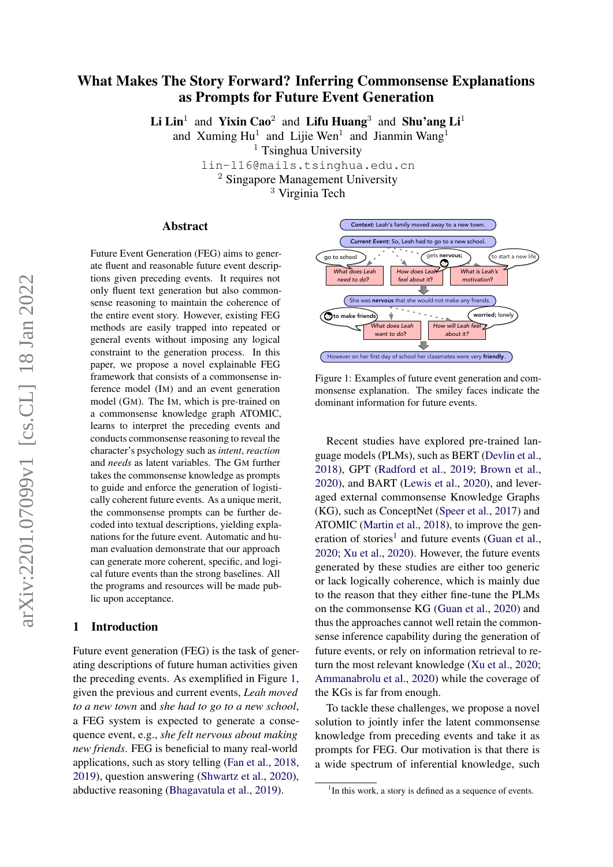# What Makes The Story Forward? Inferring Commonsense Explanations as Prompts for Future Event Generation

Li Lin<sup>1</sup> and Yixin Cao<sup>2</sup> and Lifu Huang<sup>3</sup> and Shu'ang Li<sup>1</sup>

and Xuming  $Hu^1$  and Lijie Wen<sup>1</sup> and Jianmin Wang<sup>1</sup>

 $<sup>1</sup>$  Tsinghua University</sup>

lin-l16@mails.tsinghua.edu.cn <sup>2</sup> Singapore Management University

<sup>3</sup> Virginia Tech

## Abstract

Future Event Generation (FEG) aims to generate fluent and reasonable future event descriptions given preceding events. It requires not only fluent text generation but also commonsense reasoning to maintain the coherence of the entire event story. However, existing FEG methods are easily trapped into repeated or general events without imposing any logical constraint to the generation process. In this paper, we propose a novel explainable FEG framework that consists of a commonsense inference model (IM) and an event generation model (GM). The IM, which is pre-trained on a commonsense knowledge graph ATOMIC, learns to interpret the preceding events and conducts commonsense reasoning to reveal the character's psychology such as *intent*, *reaction* and *needs* as latent variables. The GM further takes the commonsense knowledge as prompts to guide and enforce the generation of logistically coherent future events. As a unique merit, the commonsense prompts can be further decoded into textual descriptions, yielding explanations for the future event. Automatic and human evaluation demonstrate that our approach can generate more coherent, specific, and logical future events than the strong baselines. All the programs and resources will be made public upon acceptance.

#### 1 Introduction

Future event generation (FEG) is the task of generating descriptions of future human activities given the preceding events. As exemplified in Figure [1,](#page-0-0) given the previous and current events, *Leah moved to a new town* and *she had to go to a new school*, a FEG system is expected to generate a consequence event, e.g., *she felt nervous about making new friends*. FEG is beneficial to many real-world applications, such as story telling [\(Fan et al.,](#page-8-0) [2018,](#page-8-0) [2019\)](#page-8-1), question answering [\(Shwartz et al.,](#page-9-0) [2020\)](#page-9-0), abductive reasoning [\(Bhagavatula et al.,](#page-8-2) [2019\)](#page-8-2).

<span id="page-0-0"></span>

Figure 1: Examples of future event generation and commonsense explanation. The smiley faces indicate the dominant information for future events.

Recent studies have explored pre-trained language models (PLMs), such as BERT [\(Devlin et al.,](#page-8-3) [2018\)](#page-8-3), GPT [\(Radford et al.,](#page-9-1) [2019;](#page-9-1) [Brown et al.,](#page-8-4) [2020\)](#page-8-4), and BART [\(Lewis et al.,](#page-8-5) [2020\)](#page-8-5), and leveraged external commonsense Knowledge Graphs (KG), such as ConceptNet [\(Speer et al.,](#page-9-2) [2017\)](#page-9-2) and ATOMIC [\(Martin et al.,](#page-9-3) [2018\)](#page-9-3), to improve the gen-eration of stories<sup>[1](#page-0-1)</sup> and future events [\(Guan et al.,](#page-8-6) [2020;](#page-8-6) [Xu et al.,](#page-10-0) [2020\)](#page-10-0). However, the future events generated by these studies are either too generic or lack logically coherence, which is mainly due to the reason that they either fine-tune the PLMs on the commonsense KG [\(Guan et al.,](#page-8-6) [2020\)](#page-8-6) and thus the approaches cannot well retain the commonsense inference capability during the generation of future events, or rely on information retrieval to return the most relevant knowledge [\(Xu et al.,](#page-10-0) [2020;](#page-10-0) [Ammanabrolu et al.,](#page-8-7) [2020\)](#page-8-7) while the coverage of the KGs is far from enough.

To tackle these challenges, we propose a novel solution to jointly infer the latent commonsense knowledge from preceding events and take it as prompts for FEG. Our motivation is that there is a wide spectrum of inferential knowledge, such

<span id="page-0-1"></span><sup>&</sup>lt;sup>1</sup>In this work, a story is defined as a sequence of events.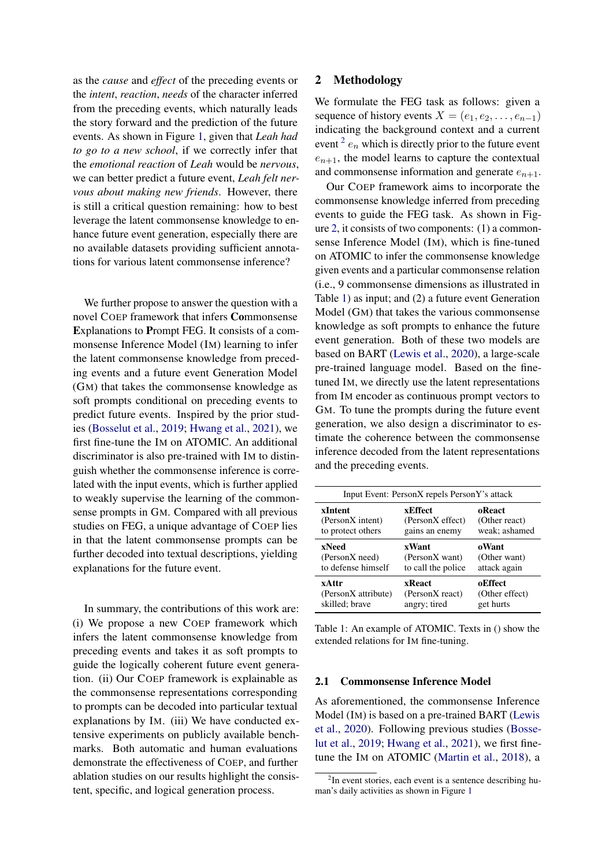as the *cause* and *effect* of the preceding events or the *intent*, *reaction*, *needs* of the character inferred from the preceding events, which naturally leads the story forward and the prediction of the future events. As shown in Figure [1,](#page-0-0) given that *Leah had to go to a new school*, if we correctly infer that the *emotional reaction* of *Leah* would be *nervous*, we can better predict a future event, *Leah felt nervous about making new friends*. However, there is still a critical question remaining: how to best leverage the latent commonsense knowledge to enhance future event generation, especially there are no available datasets providing sufficient annotations for various latent commonsense inference?

We further propose to answer the question with a novel COEP framework that infers Commonsense Explanations to Prompt FEG. It consists of a commonsense Inference Model (IM) learning to infer the latent commonsense knowledge from preceding events and a future event Generation Model (GM) that takes the commonsense knowledge as soft prompts conditional on preceding events to predict future events. Inspired by the prior studies [\(Bosselut et al.,](#page-8-8) [2019;](#page-8-8) [Hwang et al.,](#page-8-9) [2021\)](#page-8-9), we first fine-tune the IM on ATOMIC. An additional discriminator is also pre-trained with IM to distinguish whether the commonsense inference is correlated with the input events, which is further applied to weakly supervise the learning of the commonsense prompts in GM. Compared with all previous studies on FEG, a unique advantage of COEP lies in that the latent commonsense prompts can be further decoded into textual descriptions, yielding explanations for the future event.

In summary, the contributions of this work are: (i) We propose a new COEP framework which infers the latent commonsense knowledge from preceding events and takes it as soft prompts to guide the logically coherent future event generation. (ii) Our COEP framework is explainable as the commonsense representations corresponding to prompts can be decoded into particular textual explanations by IM. (iii) We have conducted extensive experiments on publicly available benchmarks. Both automatic and human evaluations demonstrate the effectiveness of COEP, and further ablation studies on our results highlight the consistent, specific, and logical generation process.

# 2 Methodology

We formulate the FEG task as follows: given a sequence of history events  $X = (e_1, e_2, \ldots, e_{n-1})$ indicating the background context and a current event  $e^2$  $e^2$  e<sub>n</sub> which is directly prior to the future event  $e_{n+1}$ , the model learns to capture the contextual and commonsense information and generate  $e_{n+1}$ .

Our COEP framework aims to incorporate the commonsense knowledge inferred from preceding events to guide the FEG task. As shown in Figure [2,](#page-2-0) it consists of two components: (1) a commonsense Inference Model (IM), which is fine-tuned on ATOMIC to infer the commonsense knowledge given events and a particular commonsense relation (i.e., 9 commonsense dimensions as illustrated in Table [1\)](#page-1-1) as input; and (2) a future event Generation Model (GM) that takes the various commonsense knowledge as soft prompts to enhance the future event generation. Both of these two models are based on BART [\(Lewis et al.,](#page-8-5) [2020\)](#page-8-5), a large-scale pre-trained language model. Based on the finetuned IM, we directly use the latent representations from IM encoder as continuous prompt vectors to GM. To tune the prompts during the future event generation, we also design a discriminator to estimate the coherence between the commonsense inference decoded from the latent representations and the preceding events.

<span id="page-1-1"></span>

| Input Event: PersonX repels PersonY's attack |                    |                |  |
|----------------------------------------------|--------------------|----------------|--|
| xIntent                                      | xEffect            | oReact         |  |
| (PersonX intent)                             | (PersonX effect)   | (Other react)  |  |
| to protect others                            | gains an enemy     | weak; ashamed  |  |
| xNeed                                        | xWant              | oWant          |  |
| (PersonX need)                               | (PersonX want)     | (Other want)   |  |
| to defense himself                           | to call the police | attack again   |  |
| xAttr                                        | xReact             | oEffect        |  |
| (PersonX attribute)                          | (PersonX react)    | (Other effect) |  |
| skilled; brave                               | angry; tired       | get hurts      |  |

Table 1: An example of ATOMIC. Texts in () show the extended relations for IM fine-tuning.

#### 2.1 Commonsense Inference Model

As aforementioned, the commonsense Inference Model (IM) is based on a pre-trained BART [\(Lewis](#page-8-5) [et al.,](#page-8-5) [2020\)](#page-8-5). Following previous studies [\(Bosse](#page-8-8)[lut et al.,](#page-8-8) [2019;](#page-8-8) [Hwang et al.,](#page-8-9) [2021\)](#page-8-9), we first finetune the IM on ATOMIC [\(Martin et al.,](#page-9-3) [2018\)](#page-9-3), a

<span id="page-1-0"></span><sup>&</sup>lt;sup>2</sup>In event stories, each event is a sentence describing human's daily activities as shown in Figure [1](#page-0-0)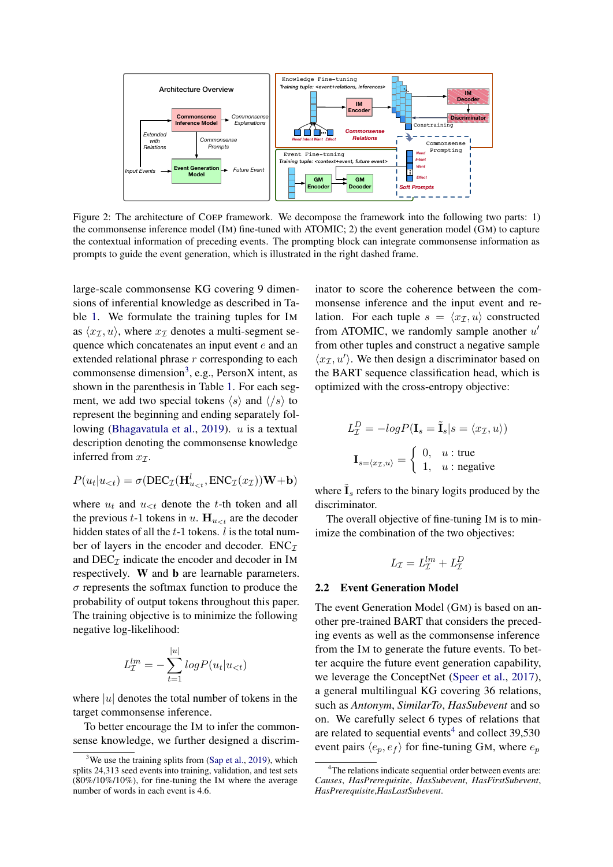<span id="page-2-0"></span>

Figure 2: The architecture of COEP framework. We decompose the framework into the following two parts: 1) the commonsense inference model (IM) fine-tuned with ATOMIC; 2) the event generation model (GM) to capture the contextual information of preceding events. The prompting block can integrate commonsense information as prompts to guide the event generation, which is illustrated in the right dashed frame.

large-scale commonsense KG covering 9 dimensions of inferential knowledge as described in Table [1.](#page-1-1) We formulate the training tuples for IM as  $\langle x_I, u \rangle$ , where  $x_I$  denotes a multi-segment sequence which concatenates an input event e and an extended relational phrase  $r$  corresponding to each commonsense dimension<sup>[3](#page-2-1)</sup>, e.g., PersonX intent, as shown in the parenthesis in Table [1.](#page-1-1) For each segment, we add two special tokens  $\langle s \rangle$  and  $\langle \langle s \rangle$  to represent the beginning and ending separately fol-lowing [\(Bhagavatula et al.,](#page-8-2) [2019\)](#page-8-2).  $u$  is a textual description denoting the commonsense knowledge inferred from  $x_7$ .

$$
P(u_t|u_{<};) = \sigma(\text{DEC}_{\mathcal{I}}(\mathbf{H}_{u_{<};t}^l, \text{ENC}_{\mathcal{I}}(x_{\mathcal{I}}))\mathbf{W} + \mathbf{b})
$$

where  $u_t$  and  $u_{lt}$  denote the t-th token and all the previous t-1 tokens in u.  $H_{u \leq t}$  are the decoder hidden states of all the  $t-1$  tokens. l is the total number of layers in the encoder and decoder.  $ENC<sub>\mathcal{I}</sub>$ and  $DEC_{\mathcal{I}}$  indicate the encoder and decoder in IM respectively. W and b are learnable parameters.  $\sigma$  represents the softmax function to produce the probability of output tokens throughout this paper. The training objective is to minimize the following negative log-likelihood:

$$
L_{\mathcal{I}}^{lm} = -\sum_{t=1}^{|u|} log P(u_t | u_{< t})
$$

where  $|u|$  denotes the total number of tokens in the target commonsense inference.

To better encourage the IM to infer the commonsense knowledge, we further designed a discriminator to score the coherence between the commonsense inference and the input event and relation. For each tuple  $s = \langle x_{\mathcal{I}}, u \rangle$  constructed from ATOMIC, we randomly sample another  $u'$ from other tuples and construct a negative sample  $\langle x_I, u' \rangle$ . We then design a discriminator based on the BART sequence classification head, which is optimized with the cross-entropy objective:

$$
L_{\mathcal{I}}^{D} = -log P(\mathbf{I}_{s} = \tilde{\mathbf{I}}_{s} | s = \langle x_{\mathcal{I}}, u \rangle)
$$

$$
\mathbf{I}_{s = \langle x_{\mathcal{I}}, u \rangle} = \begin{cases} 0, & u : \text{true} \\ 1, & u : \text{negative} \end{cases}
$$

where  $\tilde{\mathbf{I}}_s$  refers to the binary logits produced by the discriminator.

The overall objective of fine-tuning IM is to minimize the combination of the two objectives:

$$
L_{\mathcal{I}} = L_{\mathcal{I}}^{lm} + L_{\mathcal{I}}^{D}
$$

#### 2.2 Event Generation Model

The event Generation Model (GM) is based on another pre-trained BART that considers the preceding events as well as the commonsense inference from the IM to generate the future events. To better acquire the future event generation capability, we leverage the ConceptNet [\(Speer et al.,](#page-9-2) [2017\)](#page-9-2), a general multilingual KG covering 36 relations, such as *Antonym*, *SimilarTo*, *HasSubevent* and so on. We carefully select 6 types of relations that are related to sequential events<sup>[4](#page-2-2)</sup> and collect  $39,530$ event pairs  $\langle e_p, e_f \rangle$  for fine-tuning GM, where  $e_p$ 

<span id="page-2-1"></span>We use the training splits from [\(Sap et al.,](#page-9-4) [2019\)](#page-9-4), which splits 24,313 seed events into training, validation, and test sets (80%/10%/10%), for fine-tuning the IM where the average number of words in each event is 4.6.

<span id="page-2-2"></span><sup>&</sup>lt;sup>4</sup>The relations indicate sequential order between events are: *Causes*, *HasPrerequisite*, *HasSubevent*, *HasFirstSubevent*, *HasPrerequisite*,*HasLastSubevent*.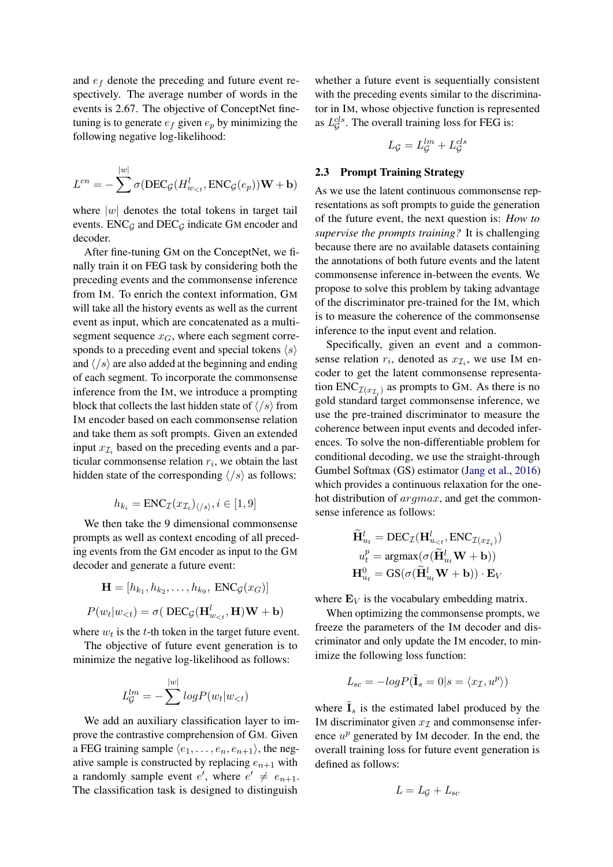and  $e_f$  denote the preceding and future event respectively. The average number of words in the events is 2.67. The objective of ConceptNet finetuning is to generate  $e_f$  given  $e_p$  by minimizing the following negative log-likelihood:

$$
L^{cn}=-\sum^{|w|}\sigma(\textrm{DEC}_{{\mathcal{G}}}(H^{l}_{w_{
$$

where  $|w|$  denotes the total tokens in target tail events.  $ENC_G$  and  $DEC_G$  indicate GM encoder and decoder.

After fine-tuning GM on the ConceptNet, we finally train it on FEG task by considering both the preceding events and the commonsense inference from IM. To enrich the context information, GM will take all the history events as well as the current event as input, which are concatenated as a multisegment sequence  $x_G$ , where each segment corresponds to a preceding event and special tokens  $\langle s \rangle$ and  $\langle \cdot | s \rangle$  are also added at the beginning and ending of each segment. To incorporate the commonsense inference from the IM, we introduce a prompting block that collects the last hidden state of  $\langle \cdot | s \rangle$  from IM encoder based on each commonsense relation and take them as soft prompts. Given an extended input  $x_{\mathcal{I}_i}$  based on the preceding events and a particular commonsense relation  $r_i$ , we obtain the last hidden state of the corresponding  $\langle/s \rangle$  as follows:

$$
h_{k_i} = \text{ENC}_{\mathcal{I}}(x_{\mathcal{I}_i})_{\langle/s\rangle}, i \in [1, 9]
$$

We then take the 9 dimensional commonsense prompts as well as context encoding of all preceding events from the GM encoder as input to the GM decoder and generate a future event:

$$
\mathbf{H} = [h_{k_1}, h_{k_2}, \dots, h_{k_9}, \text{ENC}_{\mathcal{G}}(x_G)]
$$
  

$$
P(w_t|w_{< t}) = \sigma(\text{DEC}_{\mathcal{G}}(\mathbf{H}_{w_{< t}}^l, \mathbf{H})\mathbf{W} + \mathbf{b})
$$

where  $w_t$  is the t-th token in the target future event.

The objective of future event generation is to minimize the negative log-likelihood as follows:

$$
L_G^{lm} = -\sum_{s=1}^{|w|} log P(w_t|w_{<}; t)
$$

We add an auxiliary classification layer to improve the contrastive comprehension of GM. Given a FEG training sample  $\langle e_1, \ldots, e_n, e_{n+1} \rangle$ , the negative sample is constructed by replacing  $e_{n+1}$  with a randomly sample event  $e'$ , where  $e' \neq e_{n+1}$ . The classification task is designed to distinguish

whether a future event is sequentially consistent with the preceding events similar to the discriminator in IM, whose objective function is represented as  $L_{\mathcal{G}}^{cls}$ . The overall training loss for FEG is:

$$
L_{\mathcal{G}}=L_{\mathcal{G}}^{lm}+L_{\mathcal{G}}^{cls}
$$

#### 2.3 Prompt Training Strategy

As we use the latent continuous commonsense representations as soft prompts to guide the generation of the future event, the next question is: *How to supervise the prompts training?* It is challenging because there are no available datasets containing the annotations of both future events and the latent commonsense inference in-between the events. We propose to solve this problem by taking advantage of the discriminator pre-trained for the IM, which is to measure the coherence of the commonsense inference to the input event and relation.

Specifically, given an event and a commonsense relation  $r_i$ , denoted as  $x_{\mathcal{I}_i}$ , we use IM encoder to get the latent commonsense representation  $ENC_{\mathcal{I}(x_{\mathcal{I}_i})}$  as prompts to GM. As there is no gold standard target commonsense inference, we use the pre-trained discriminator to measure the coherence between input events and decoded inferences. To solve the non-differentiable problem for conditional decoding, we use the straight-through Gumbel Softmax (GS) estimator [\(Jang et al.,](#page-8-10) [2016\)](#page-8-10) which provides a continuous relaxation for the onehot distribution of argmax, and get the commonsense inference as follows:

$$
\tilde{\mathbf{H}}_{u_t}^l = \text{DEC}_{\mathcal{I}}(\mathbf{H}_{u_{lt}t}^l, \text{ENC}_{\mathcal{I}(x_{\mathcal{I}_i})})
$$
\n
$$
u_t^p = \text{argmax}(\sigma(\tilde{\mathbf{H}}_{u_t}^l \mathbf{W} + \mathbf{b}))
$$
\n
$$
\mathbf{H}_{u_t}^0 = \text{GS}(\sigma(\tilde{\mathbf{H}}_{u_t}^l \mathbf{W} + \mathbf{b})) \cdot \mathbf{E}_V
$$

where  $\mathbf{E}_V$  is the vocabulary embedding matrix.

When optimizing the commonsense prompts, we freeze the parameters of the IM decoder and discriminator and only update the IM encoder, to minimize the following loss function:

$$
L_{sc} = -logP(\tilde{\mathbf{I}}_s = 0 | s = \langle x_{\mathcal{I}}, u^p \rangle)
$$

where  $\mathbf{I}_s$  is the estimated label produced by the IM discriminator given  $x_{\tau}$  and commonsense inference  $u^p$  generated by IM decoder. In the end, the overall training loss for future event generation is defined as follows:

$$
L=L_{\mathcal{G}}+L_{sc}
$$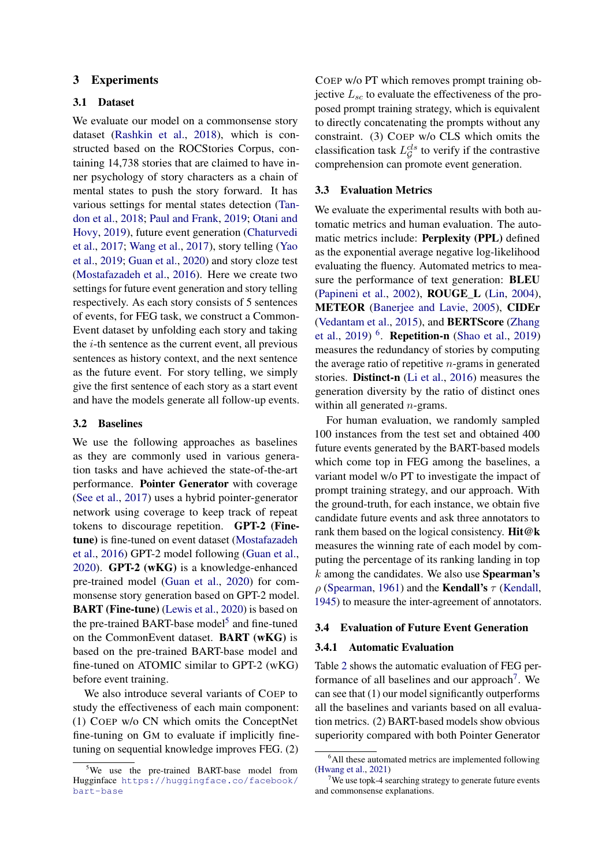# 3 Experiments

## 3.1 Dataset

We evaluate our model on a commonsense story dataset [\(Rashkin et al.,](#page-9-5) [2018\)](#page-9-5), which is constructed based on the ROCStories Corpus, containing 14,738 stories that are claimed to have inner psychology of story characters as a chain of mental states to push the story forward. It has various settings for mental states detection [\(Tan](#page-9-6)[don et al.,](#page-9-6) [2018;](#page-9-6) [Paul and Frank,](#page-9-7) [2019;](#page-9-7) [Otani and](#page-9-8) [Hovy,](#page-9-8) [2019\)](#page-9-8), future event generation [\(Chaturvedi](#page-8-11) [et al.,](#page-8-11) [2017;](#page-8-11) [Wang et al.,](#page-9-9) [2017\)](#page-9-9), story telling [\(Yao](#page-10-1) [et al.,](#page-10-1) [2019;](#page-10-1) [Guan et al.,](#page-8-6) [2020\)](#page-8-6) and story cloze test [\(Mostafazadeh et al.,](#page-9-10) [2016\)](#page-9-10). Here we create two settings for future event generation and story telling respectively. As each story consists of 5 sentences of events, for FEG task, we construct a Common-Event dataset by unfolding each story and taking the  $i$ -th sentence as the current event, all previous sentences as history context, and the next sentence as the future event. For story telling, we simply give the first sentence of each story as a start event and have the models generate all follow-up events.

# 3.2 Baselines

We use the following approaches as baselines as they are commonly used in various generation tasks and have achieved the state-of-the-art performance. Pointer Generator with coverage [\(See et al.,](#page-9-11) [2017\)](#page-9-11) uses a hybrid pointer-generator network using coverage to keep track of repeat tokens to discourage repetition. GPT-2 (Finetune) is fine-tuned on event dataset [\(Mostafazadeh](#page-9-10) [et al.,](#page-9-10) [2016\)](#page-9-10) GPT-2 model following [\(Guan et al.,](#page-8-6) [2020\)](#page-8-6). GPT-2 (wKG) is a knowledge-enhanced pre-trained model [\(Guan et al.,](#page-8-6) [2020\)](#page-8-6) for commonsense story generation based on GPT-2 model. BART (Fine-tune) [\(Lewis et al.,](#page-8-5) [2020\)](#page-8-5) is based on the pre-trained BART-base model<sup>[5](#page-4-0)</sup> and fine-tuned on the CommonEvent dataset. BART (wKG) is based on the pre-trained BART-base model and fine-tuned on ATOMIC similar to GPT-2 (wKG) before event training.

We also introduce several variants of COEP to study the effectiveness of each main component: (1) COEP w/o CN which omits the ConceptNet fine-tuning on GM to evaluate if implicitly finetuning on sequential knowledge improves FEG. (2) COEP w/o PT which removes prompt training objective  $L_{sc}$  to evaluate the effectiveness of the proposed prompt training strategy, which is equivalent to directly concatenating the prompts without any constraint. (3) COEP w/o CLS which omits the classification task  $L_G^{cls}$  to verify if the contrastive comprehension can promote event generation.

#### 3.3 Evaluation Metrics

We evaluate the experimental results with both automatic metrics and human evaluation. The automatic metrics include: Perplexity (PPL) defined as the exponential average negative log-likelihood evaluating the fluency. Automated metrics to measure the performance of text generation: BLEU [\(Papineni et al.,](#page-9-12) [2002\)](#page-9-12), ROUGE\_L [\(Lin,](#page-9-13) [2004\)](#page-9-13), METEOR [\(Banerjee and Lavie,](#page-8-12) [2005\)](#page-8-12), CIDEr [\(Vedantam et al.,](#page-9-14) [2015\)](#page-9-14), and BERTScore [\(Zhang](#page-10-2) [et al.,](#page-10-2) [2019\)](#page-9-15)<sup>[6](#page-4-1)</sup>. **Repetition-n** [\(Shao et al.,](#page-9-15) 2019) measures the redundancy of stories by computing the average ratio of repetitive  $n$ -grams in generated stories. Distinct-n [\(Li et al.,](#page-8-13) [2016\)](#page-8-13) measures the generation diversity by the ratio of distinct ones within all generated  $n$ -grams.

For human evaluation, we randomly sampled 100 instances from the test set and obtained 400 future events generated by the BART-based models which come top in FEG among the baselines, a variant model w/o PT to investigate the impact of prompt training strategy, and our approach. With the ground-truth, for each instance, we obtain five candidate future events and ask three annotators to rank them based on the logical consistency. Hit@k measures the winning rate of each model by computing the percentage of its ranking landing in top k among the candidates. We also use Spearman's  $\rho$  [\(Spearman,](#page-9-16) [1961\)](#page-9-16) and the **Kendall's**  $\tau$  [\(Kendall,](#page-8-14) [1945\)](#page-8-14) to measure the inter-agreement of annotators.

## 3.4 Evaluation of Future Event Generation

#### 3.4.1 Automatic Evaluation

Table [2](#page-5-0) shows the automatic evaluation of FEG per-formance of all baselines and our approach<sup>[7](#page-4-2)</sup>. We can see that (1) our model significantly outperforms all the baselines and variants based on all evaluation metrics. (2) BART-based models show obvious superiority compared with both Pointer Generator

<span id="page-4-0"></span><sup>&</sup>lt;sup>5</sup>We use the pre-trained BART-base model from Hugginface [https://huggingface.co/facebook/](https://huggingface.co/facebook/bart-base) [bart-base](https://huggingface.co/facebook/bart-base)

<span id="page-4-1"></span><sup>&</sup>lt;sup>6</sup>All these automated metrics are implemented following [\(Hwang et al.,](#page-8-9) [2021\)](#page-8-9)

<span id="page-4-2"></span>We use topk-4 searching strategy to generate future events and commonsense explanations.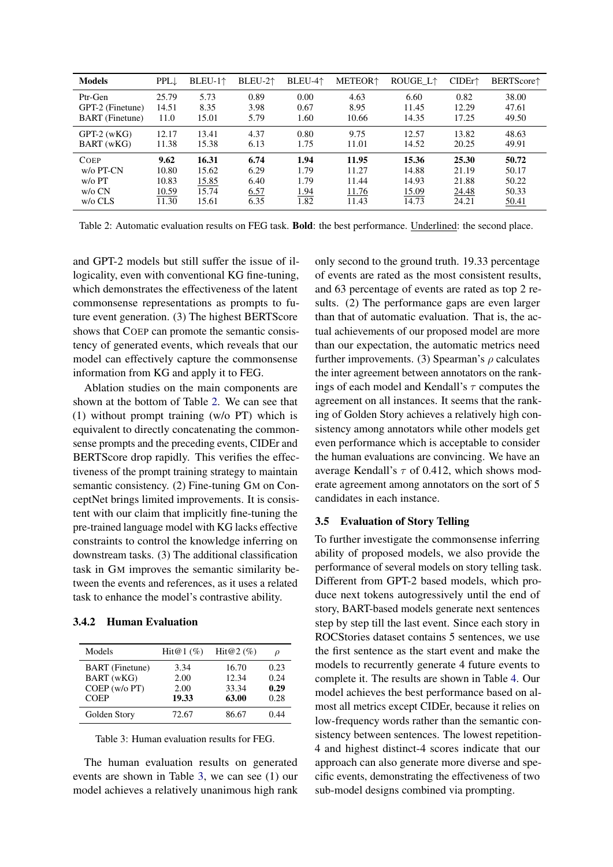<span id="page-5-0"></span>

| <b>Models</b>          | $PPL \downarrow$ | $BLEU-1$ <sup><math>\uparrow</math></sup> | BLEU-2 <sup>+</sup> | BLEU-4 <sup>+</sup> | <b>METEOR</b> <sup>+</sup> | ROUGE_L↑ | $CIDEr+$ | <b>BERTScore</b> <sup>1</sup> |
|------------------------|------------------|-------------------------------------------|---------------------|---------------------|----------------------------|----------|----------|-------------------------------|
| Ptr-Gen                | 25.79            | 5.73                                      | 0.89                | 0.00                | 4.63                       | 6.60     | 0.82     | 38.00                         |
| GPT-2 (Finetune)       | 14.51            | 8.35                                      | 3.98                | 0.67                | 8.95                       | 11.45    | 12.29    | 47.61                         |
| <b>BART</b> (Finetune) | 11.0             | 15.01                                     | 5.79                | 1.60                | 10.66                      | 14.35    | 17.25    | 49.50                         |
| $GPT-2$ (wKG)          | 12.17            | 13.41                                     | 4.37                | 0.80                | 9.75                       | 12.57    | 13.82    | 48.63                         |
| BART (wKG)             | 11.38            | 15.38                                     | 6.13                | 1.75                | 11.01                      | 14.52    | 20.25    | 49.91                         |
| <b>COEP</b>            | 9.62             | 16.31                                     | 6.74                | 1.94                | 11.95                      | 15.36    | 25.30    | 50.72                         |
| $w$ / $o$ PT-CN        | 10.80            | 15.62                                     | 6.29                | 1.79                | 11.27                      | 14.88    | 21.19    | 50.17                         |
| $w$ /o PT              | 10.83            | 15.85                                     | 6.40                | 1.79                | 11.44                      | 14.93    | 21.88    | 50.22                         |
| $w$ / $\circ$ CN       | 10.59            | 15.74                                     | 6.57                | 1.94                | 11.76                      | 15.09    | 24.48    | 50.33                         |
| $w/o$ CLS              | 11.30            | 15.61                                     | 6.35                | 1.82                | 11.43                      | 14.73    | 24.21    | 50.41                         |

Table 2: Automatic evaluation results on FEG task. Bold: the best performance. Underlined: the second place.

and GPT-2 models but still suffer the issue of illogicality, even with conventional KG fine-tuning, which demonstrates the effectiveness of the latent commonsense representations as prompts to future event generation. (3) The highest BERTScore shows that COEP can promote the semantic consistency of generated events, which reveals that our model can effectively capture the commonsense information from KG and apply it to FEG.

Ablation studies on the main components are shown at the bottom of Table [2.](#page-5-0) We can see that (1) without prompt training (w/o PT) which is equivalent to directly concatenating the commonsense prompts and the preceding events, CIDEr and BERTScore drop rapidly. This verifies the effectiveness of the prompt training strategy to maintain semantic consistency. (2) Fine-tuning GM on ConceptNet brings limited improvements. It is consistent with our claim that implicitly fine-tuning the pre-trained language model with KG lacks effective constraints to control the knowledge inferring on downstream tasks. (3) The additional classification task in GM improves the semantic similarity between the events and references, as it uses a related task to enhance the model's contrastive ability.

## 3.4.2 Human Evaluation

<span id="page-5-1"></span>

| Models                 | Hit@1 $(\%)$ | $Hit@2(\%)$ | ρ    |
|------------------------|--------------|-------------|------|
| <b>BART</b> (Finetune) | 3.34         | 16.70       | 0.23 |
| BART (wKG)             | 2.00         | 12.34       | 0.24 |
| COEP (w/o PT)          | 2.00         | 33.34       | 0.29 |
| <b>COEP</b>            | 19.33        | 63.00       | 0.28 |
| Golden Story           | 72.67        | 86.67       | 0.44 |

Table 3: Human evaluation results for FEG.

The human evaluation results on generated events are shown in Table [3,](#page-5-1) we can see (1) our model achieves a relatively unanimous high rank only second to the ground truth. 19.33 percentage of events are rated as the most consistent results, and 63 percentage of events are rated as top 2 results. (2) The performance gaps are even larger than that of automatic evaluation. That is, the actual achievements of our proposed model are more than our expectation, the automatic metrics need further improvements. (3) Spearman's  $\rho$  calculates the inter agreement between annotators on the rankings of each model and Kendall's  $\tau$  computes the agreement on all instances. It seems that the ranking of Golden Story achieves a relatively high consistency among annotators while other models get even performance which is acceptable to consider the human evaluations are convincing. We have an average Kendall's  $\tau$  of 0.412, which shows moderate agreement among annotators on the sort of 5 candidates in each instance.

#### 3.5 Evaluation of Story Telling

To further investigate the commonsense inferring ability of proposed models, we also provide the performance of several models on story telling task. Different from GPT-2 based models, which produce next tokens autogressively until the end of story, BART-based models generate next sentences step by step till the last event. Since each story in ROCStories dataset contains 5 sentences, we use the first sentence as the start event and make the models to recurrently generate 4 future events to complete it. The results are shown in Table [4.](#page-6-0) Our model achieves the best performance based on almost all metrics except CIDEr, because it relies on low-frequency words rather than the semantic consistency between sentences. The lowest repetition-4 and highest distinct-4 scores indicate that our approach can also generate more diverse and specific events, demonstrating the effectiveness of two sub-model designs combined via prompting.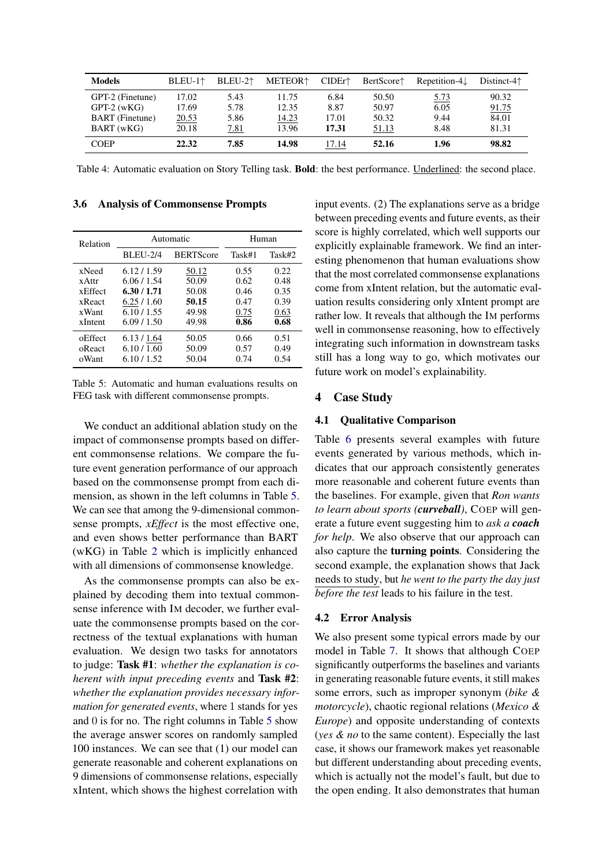<span id="page-6-0"></span>

| <b>Models</b>          | BLEU-1 <sup>↑</sup> | BLEU-2 <sup>+</sup> | <b>METEOR</b> <sup>+</sup> | $CIDEr^*$ | BertScore↑ | $Repetition-4l$ | Distinct- $4\uparrow$ |
|------------------------|---------------------|---------------------|----------------------------|-----------|------------|-----------------|-----------------------|
| GPT-2 (Finetune)       | 17.02               | 5.43                | 11.75                      | 6.84      | 50.50      | <u>5.73</u>     | 90.32                 |
| $GPT-2$ (wKG)          | 17.69               | 5.78                | 12.35                      | 8.87      | 50.97      | 6.05            | 91.75                 |
| <b>BART</b> (Finetune) | 20.53               | 5.86                | 14.23                      | 17.01     | 50.32      | 9.44            | 84.01                 |
| BART (wKG)             | 20.18               | 7.81                | 13.96                      | 17.31     | 51.13      | 8.48            | 81.31                 |
| <b>COEP</b>            | 22.32               | 7.85                | 14.98                      | 17.14     | 52.16      | 1.96            | 98.82                 |

Table 4: Automatic evaluation on Story Telling task. Bold: the best performance. Underlined: the second place.

3.6 Analysis of Commonsense Prompts

<span id="page-6-1"></span>

| Relation        |                                     | Automatic | Human  |        |  |
|-----------------|-------------------------------------|-----------|--------|--------|--|
|                 | <b>BERTScore</b><br><b>BLEU-2/4</b> |           | Task#1 | Task#2 |  |
| xNeed           | 6.12/1.59                           | 50.12     | 0.55   | 0.22   |  |
| x Attr          | 6.06/1.54                           | 50.09     | 0.62   | 0.48   |  |
| <b>x</b> Effect | 6.30 / 1.71                         | 50.08     | 0.46   | 0.35   |  |
| xReact          | 6.25/1.60                           | 50.15     | 0.47   | 0.39   |  |
| xWant           | 6.10 / 1.55                         | 49.98     | 0.75   | 0.63   |  |
| xIntent         | 6.09/1.50                           | 49.98     | 0.86   | 0.68   |  |
| oEffect         | 6.13 / 1.64                         | 50.05     | 0.66   | 0.51   |  |
| oReact          | 6.10 / 1.60                         | 50.09     | 0.57   | 0.49   |  |
| oWant           | 6.10 / 1.52                         | 50.04     | 0.74   | 0.54   |  |

Table 5: Automatic and human evaluations results on FEG task with different commonsense prompts.

We conduct an additional ablation study on the impact of commonsense prompts based on different commonsense relations. We compare the future event generation performance of our approach based on the commonsense prompt from each dimension, as shown in the left columns in Table [5.](#page-6-1) We can see that among the 9-dimensional commonsense prompts, *xEffect* is the most effective one, and even shows better performance than BART (wKG) in Table [2](#page-5-0) which is implicitly enhanced with all dimensions of commonsense knowledge.

As the commonsense prompts can also be explained by decoding them into textual commonsense inference with IM decoder, we further evaluate the commonsense prompts based on the correctness of the textual explanations with human evaluation. We design two tasks for annotators to judge: Task #1: *whether the explanation is coherent with input preceding events* and Task #2: *whether the explanation provides necessary information for generated events*, where 1 stands for yes and 0 is for no. The right columns in Table [5](#page-6-1) show the average answer scores on randomly sampled 100 instances. We can see that (1) our model can generate reasonable and coherent explanations on 9 dimensions of commonsense relations, especially xIntent, which shows the highest correlation with

input events. (2) The explanations serve as a bridge between preceding events and future events, as their score is highly correlated, which well supports our explicitly explainable framework. We find an interesting phenomenon that human evaluations show that the most correlated commonsense explanations come from xIntent relation, but the automatic evaluation results considering only xIntent prompt are rather low. It reveals that although the IM performs well in commonsense reasoning, how to effectively integrating such information in downstream tasks still has a long way to go, which motivates our future work on model's explainability.

# 4 Case Study

# 4.1 Qualitative Comparison

Table [6](#page-7-0) presents several examples with future events generated by various methods, which indicates that our approach consistently generates more reasonable and coherent future events than the baselines. For example, given that *Ron wants to learn about sports (curveball)*, COEP will generate a future event suggesting him to *ask a coach for help*. We also observe that our approach can also capture the turning points. Considering the second example, the explanation shows that Jack needs to study, but *he went to the party the day just before the test* leads to his failure in the test.

# 4.2 Error Analysis

We also present some typical errors made by our model in Table [7.](#page-7-1) It shows that although COEP significantly outperforms the baselines and variants in generating reasonable future events, it still makes some errors, such as improper synonym (*bike & motorcycle*), chaotic regional relations (*Mexico & Europe*) and opposite understanding of contexts (*yes & no* to the same content). Especially the last case, it shows our framework makes yet reasonable but different understanding about preceding events, which is actually not the model's fault, but due to the open ending. It also demonstrates that human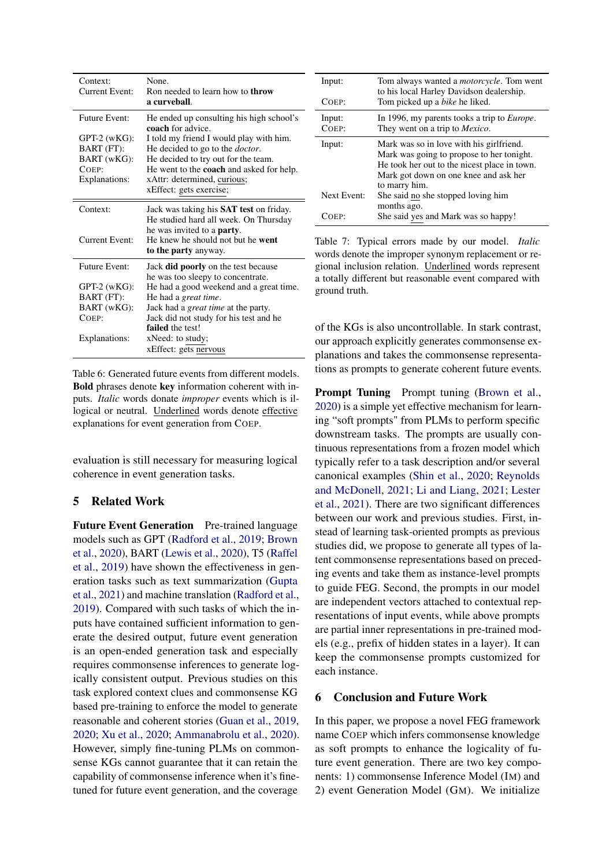<span id="page-7-0"></span>

| Context:<br>Current Event: | None.<br>Ron needed to learn how to <b>throw</b><br>a curveball.            |
|----------------------------|-----------------------------------------------------------------------------|
| <b>Future Event:</b>       | He ended up consulting his high school's<br><b>coach</b> for advice.        |
| $GPT-2$ (wKG):             | I told my friend I would play with him.                                     |
| BART (FT):                 | He decided to go to the <i>doctor</i> .                                     |
| BART (wKG):                | He decided to try out for the team.                                         |
| $C$ OEP:                   | He went to the <b>coach</b> and asked for help.                             |
| Explanations:              | xAttr: determined, curious;                                                 |
|                            | xEffect: gets exercise;                                                     |
| Context:                   | Jack was taking his <b>SAT</b> test on friday.                              |
|                            | He studied hard all week. On Thursday<br>he was invited to a <b>party</b> . |
| Current Event:             | He knew he should not but he went                                           |
|                            | to the party anyway.                                                        |
| Future Event:              | Jack <b>did poorly</b> on the test because                                  |
|                            | he was too sleepy to concentrate.                                           |
| $GPT-2$ (wKG):             | He had a good weekend and a great time.                                     |
| BART (FT):                 | He had a <i>great time</i> .                                                |
| BART (wKG):                | Jack had a great time at the party.                                         |
| COEP:                      | Jack did not study for his test and he                                      |
|                            | failed the test!                                                            |
| Explanations:              | xNeed: to study;                                                            |
|                            | xEffect: gets nervous                                                       |

Table 6: Generated future events from different models. Bold phrases denote key information coherent with inputs. *Italic* words donate *improper* events which is illogical or neutral. Underlined words denote effective explanations for event generation from COEP.

evaluation is still necessary for measuring logical coherence in event generation tasks.

# 5 Related Work

Future Event Generation Pre-trained language models such as GPT [\(Radford et al.,](#page-9-1) [2019;](#page-9-1) [Brown](#page-8-4) [et al.,](#page-8-4) [2020\)](#page-8-4), BART [\(Lewis et al.,](#page-8-5) [2020\)](#page-8-5), T5 [\(Raffel](#page-9-17) [et al.,](#page-9-17) [2019\)](#page-9-17) have shown the effectiveness in generation tasks such as text summarization [\(Gupta](#page-8-15) [et al.,](#page-8-15) [2021\)](#page-8-15) and machine translation [\(Radford et al.,](#page-9-1) [2019\)](#page-9-1). Compared with such tasks of which the inputs have contained sufficient information to generate the desired output, future event generation is an open-ended generation task and especially requires commonsense inferences to generate logically consistent output. Previous studies on this task explored context clues and commonsense KG based pre-training to enforce the model to generate reasonable and coherent stories [\(Guan et al.,](#page-8-16) [2019,](#page-8-16) [2020;](#page-8-6) [Xu et al.,](#page-10-0) [2020;](#page-10-0) [Ammanabrolu et al.,](#page-8-7) [2020\)](#page-8-7). However, simply fine-tuning PLMs on commonsense KGs cannot guarantee that it can retain the capability of commonsense inference when it's finetuned for future event generation, and the coverage

<span id="page-7-1"></span>

| Input:<br>COEP: | Tom always wanted a <i>motorcycle</i> . Tom went<br>to his local Harley Davidson dealership.<br>Tom picked up a <i>bike</i> he liked.                                                           |
|-----------------|-------------------------------------------------------------------------------------------------------------------------------------------------------------------------------------------------|
| Input:<br>COEP: | In 1996, my parents tooks a trip to <i>Europe</i> .<br>They went on a trip to <i>Mexico</i> .                                                                                                   |
| Input:          | Mark was so in love with his girlfriend.<br>Mark was going to propose to her tonight.<br>He took her out to the nicest place in town.<br>Mark got down on one knee and ask her<br>to marry him. |
| Next Event:     | She said no she stopped loving him<br>months ago.                                                                                                                                               |
| $'$ OEP:        | She said yes and Mark was so happy!                                                                                                                                                             |

Table 7: Typical errors made by our model. *Italic* words denote the improper synonym replacement or regional inclusion relation. Underlined words represent a totally different but reasonable event compared with ground truth.

of the KGs is also uncontrollable. In stark contrast, our approach explicitly generates commonsense explanations and takes the commonsense representations as prompts to generate coherent future events.

Prompt Tuning Prompt tuning [\(Brown et al.,](#page-8-4) [2020\)](#page-8-4) is a simple yet effective mechanism for learning "soft prompts" from PLMs to perform specific downstream tasks. The prompts are usually continuous representations from a frozen model which typically refer to a task description and/or several canonical examples [\(Shin et al.,](#page-9-18) [2020;](#page-9-18) [Reynolds](#page-9-19) [and McDonell,](#page-9-19) [2021;](#page-9-19) [Li and Liang,](#page-9-20) [2021;](#page-9-20) [Lester](#page-8-17) [et al.,](#page-8-17) [2021\)](#page-8-17). There are two significant differences between our work and previous studies. First, instead of learning task-oriented prompts as previous studies did, we propose to generate all types of latent commonsense representations based on preceding events and take them as instance-level prompts to guide FEG. Second, the prompts in our model are independent vectors attached to contextual representations of input events, while above prompts are partial inner representations in pre-trained models (e.g., prefix of hidden states in a layer). It can keep the commonsense prompts customized for each instance.

# 6 Conclusion and Future Work

In this paper, we propose a novel FEG framework name COEP which infers commonsense knowledge as soft prompts to enhance the logicality of future event generation. There are two key components: 1) commonsense Inference Model (IM) and 2) event Generation Model (GM). We initialize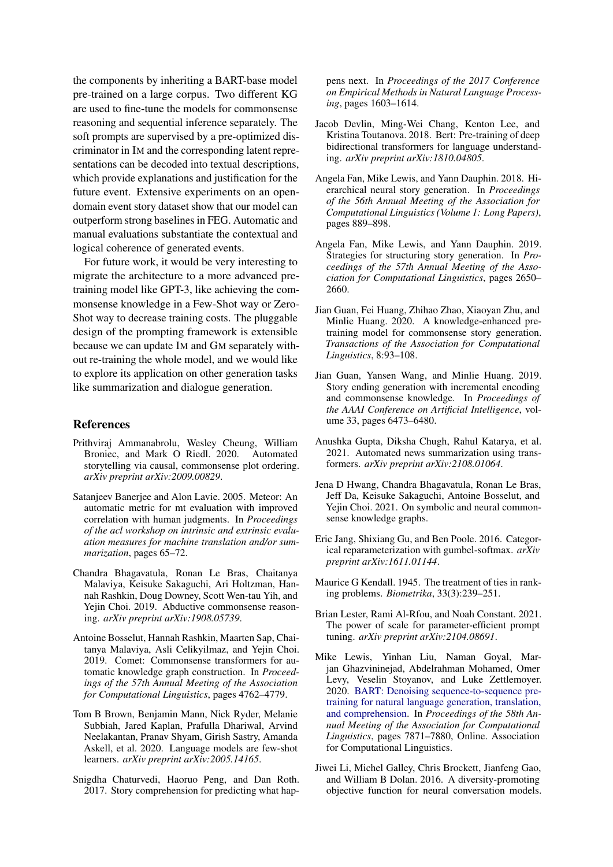the components by inheriting a BART-base model pre-trained on a large corpus. Two different KG are used to fine-tune the models for commonsense reasoning and sequential inference separately. The soft prompts are supervised by a pre-optimized discriminator in IM and the corresponding latent representations can be decoded into textual descriptions, which provide explanations and justification for the future event. Extensive experiments on an opendomain event story dataset show that our model can outperform strong baselines in FEG. Automatic and manual evaluations substantiate the contextual and logical coherence of generated events.

For future work, it would be very interesting to migrate the architecture to a more advanced pretraining model like GPT-3, like achieving the commonsense knowledge in a Few-Shot way or Zero-Shot way to decrease training costs. The pluggable design of the prompting framework is extensible because we can update IM and GM separately without re-training the whole model, and we would like to explore its application on other generation tasks like summarization and dialogue generation.

# References

- <span id="page-8-7"></span>Prithviraj Ammanabrolu, Wesley Cheung, William Broniec, and Mark O Riedl. 2020. Automated storytelling via causal, commonsense plot ordering. *arXiv preprint arXiv:2009.00829*.
- <span id="page-8-12"></span>Satanjeev Banerjee and Alon Lavie. 2005. Meteor: An automatic metric for mt evaluation with improved correlation with human judgments. In *Proceedings of the acl workshop on intrinsic and extrinsic evaluation measures for machine translation and/or summarization*, pages 65–72.
- <span id="page-8-2"></span>Chandra Bhagavatula, Ronan Le Bras, Chaitanya Malaviya, Keisuke Sakaguchi, Ari Holtzman, Hannah Rashkin, Doug Downey, Scott Wen-tau Yih, and Yejin Choi. 2019. Abductive commonsense reasoning. *arXiv preprint arXiv:1908.05739*.
- <span id="page-8-8"></span>Antoine Bosselut, Hannah Rashkin, Maarten Sap, Chaitanya Malaviya, Asli Celikyilmaz, and Yejin Choi. 2019. Comet: Commonsense transformers for automatic knowledge graph construction. In *Proceedings of the 57th Annual Meeting of the Association for Computational Linguistics*, pages 4762–4779.
- <span id="page-8-4"></span>Tom B Brown, Benjamin Mann, Nick Ryder, Melanie Subbiah, Jared Kaplan, Prafulla Dhariwal, Arvind Neelakantan, Pranav Shyam, Girish Sastry, Amanda Askell, et al. 2020. Language models are few-shot learners. *arXiv preprint arXiv:2005.14165*.
- <span id="page-8-11"></span>Snigdha Chaturvedi, Haoruo Peng, and Dan Roth. 2017. Story comprehension for predicting what hap-

pens next. In *Proceedings of the 2017 Conference on Empirical Methods in Natural Language Processing*, pages 1603–1614.

- <span id="page-8-3"></span>Jacob Devlin, Ming-Wei Chang, Kenton Lee, and Kristina Toutanova. 2018. Bert: Pre-training of deep bidirectional transformers for language understanding. *arXiv preprint arXiv:1810.04805*.
- <span id="page-8-0"></span>Angela Fan, Mike Lewis, and Yann Dauphin. 2018. Hierarchical neural story generation. In *Proceedings of the 56th Annual Meeting of the Association for Computational Linguistics (Volume 1: Long Papers)*, pages 889–898.
- <span id="page-8-1"></span>Angela Fan, Mike Lewis, and Yann Dauphin. 2019. Strategies for structuring story generation. In *Proceedings of the 57th Annual Meeting of the Association for Computational Linguistics*, pages 2650– 2660.
- <span id="page-8-6"></span>Jian Guan, Fei Huang, Zhihao Zhao, Xiaoyan Zhu, and Minlie Huang. 2020. A knowledge-enhanced pretraining model for commonsense story generation. *Transactions of the Association for Computational Linguistics*, 8:93–108.
- <span id="page-8-16"></span>Jian Guan, Yansen Wang, and Minlie Huang. 2019. Story ending generation with incremental encoding and commonsense knowledge. In *Proceedings of the AAAI Conference on Artificial Intelligence*, volume 33, pages 6473–6480.
- <span id="page-8-15"></span>Anushka Gupta, Diksha Chugh, Rahul Katarya, et al. 2021. Automated news summarization using transformers. *arXiv preprint arXiv:2108.01064*.
- <span id="page-8-9"></span>Jena D Hwang, Chandra Bhagavatula, Ronan Le Bras, Jeff Da, Keisuke Sakaguchi, Antoine Bosselut, and Yejin Choi. 2021. On symbolic and neural commonsense knowledge graphs.
- <span id="page-8-10"></span>Eric Jang, Shixiang Gu, and Ben Poole. 2016. Categorical reparameterization with gumbel-softmax. *arXiv preprint arXiv:1611.01144*.
- <span id="page-8-14"></span>Maurice G Kendall. 1945. The treatment of ties in ranking problems. *Biometrika*, 33(3):239–251.
- <span id="page-8-17"></span>Brian Lester, Rami Al-Rfou, and Noah Constant. 2021. The power of scale for parameter-efficient prompt tuning. *arXiv preprint arXiv:2104.08691*.
- <span id="page-8-5"></span>Mike Lewis, Yinhan Liu, Naman Goyal, Marjan Ghazvininejad, Abdelrahman Mohamed, Omer Levy, Veselin Stoyanov, and Luke Zettlemoyer. 2020. [BART: Denoising sequence-to-sequence pre](https://doi.org/10.18653/v1/2020.acl-main.703)[training for natural language generation, translation,](https://doi.org/10.18653/v1/2020.acl-main.703) [and comprehension.](https://doi.org/10.18653/v1/2020.acl-main.703) In *Proceedings of the 58th Annual Meeting of the Association for Computational Linguistics*, pages 7871–7880, Online. Association for Computational Linguistics.
- <span id="page-8-13"></span>Jiwei Li, Michel Galley, Chris Brockett, Jianfeng Gao, and William B Dolan. 2016. A diversity-promoting objective function for neural conversation models.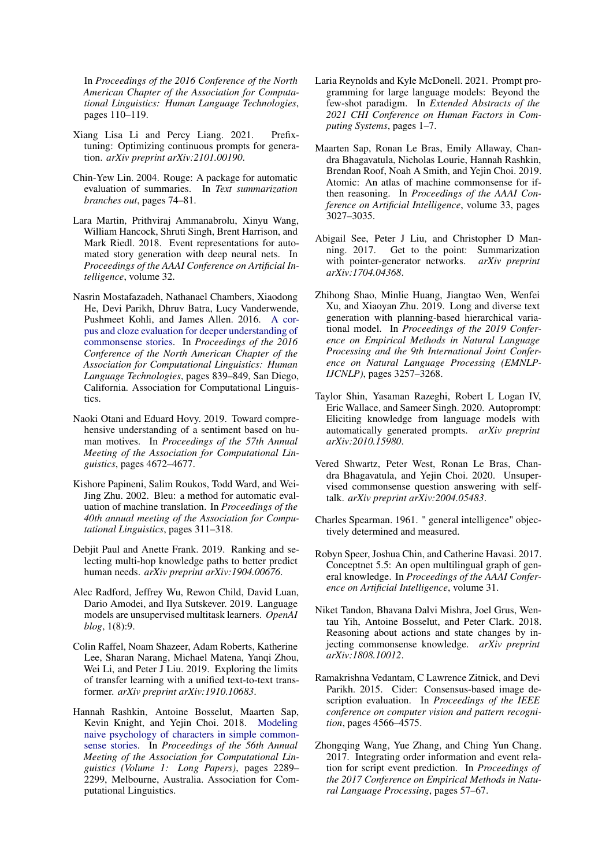In *Proceedings of the 2016 Conference of the North American Chapter of the Association for Computational Linguistics: Human Language Technologies*, pages 110–119.

- <span id="page-9-20"></span>Xiang Lisa Li and Percy Liang. 2021. Prefixtuning: Optimizing continuous prompts for generation. *arXiv preprint arXiv:2101.00190*.
- <span id="page-9-13"></span>Chin-Yew Lin. 2004. Rouge: A package for automatic evaluation of summaries. In *Text summarization branches out*, pages 74–81.
- <span id="page-9-3"></span>Lara Martin, Prithviraj Ammanabrolu, Xinyu Wang, William Hancock, Shruti Singh, Brent Harrison, and Mark Riedl. 2018. Event representations for automated story generation with deep neural nets. In *Proceedings of the AAAI Conference on Artificial Intelligence*, volume 32.
- <span id="page-9-10"></span>Nasrin Mostafazadeh, Nathanael Chambers, Xiaodong He, Devi Parikh, Dhruv Batra, Lucy Vanderwende, Pushmeet Kohli, and James Allen. 2016. [A cor](https://doi.org/10.18653/v1/N16-1098)[pus and cloze evaluation for deeper understanding of](https://doi.org/10.18653/v1/N16-1098) [commonsense stories.](https://doi.org/10.18653/v1/N16-1098) In *Proceedings of the 2016 Conference of the North American Chapter of the Association for Computational Linguistics: Human Language Technologies*, pages 839–849, San Diego, California. Association for Computational Linguistics.
- <span id="page-9-8"></span>Naoki Otani and Eduard Hovy. 2019. Toward comprehensive understanding of a sentiment based on human motives. In *Proceedings of the 57th Annual Meeting of the Association for Computational Linguistics*, pages 4672–4677.
- <span id="page-9-12"></span>Kishore Papineni, Salim Roukos, Todd Ward, and Wei-Jing Zhu. 2002. Bleu: a method for automatic evaluation of machine translation. In *Proceedings of the 40th annual meeting of the Association for Computational Linguistics*, pages 311–318.
- <span id="page-9-7"></span>Debjit Paul and Anette Frank. 2019. Ranking and selecting multi-hop knowledge paths to better predict human needs. *arXiv preprint arXiv:1904.00676*.
- <span id="page-9-1"></span>Alec Radford, Jeffrey Wu, Rewon Child, David Luan, Dario Amodei, and Ilya Sutskever. 2019. Language models are unsupervised multitask learners. *OpenAI blog*, 1(8):9.
- <span id="page-9-17"></span>Colin Raffel, Noam Shazeer, Adam Roberts, Katherine Lee, Sharan Narang, Michael Matena, Yanqi Zhou, Wei Li, and Peter J Liu. 2019. Exploring the limits of transfer learning with a unified text-to-text transformer. *arXiv preprint arXiv:1910.10683*.
- <span id="page-9-5"></span>Hannah Rashkin, Antoine Bosselut, Maarten Sap, Kevin Knight, and Yejin Choi. 2018. [Modeling](https://doi.org/10.18653/v1/P18-1213) [naive psychology of characters in simple common](https://doi.org/10.18653/v1/P18-1213)[sense stories.](https://doi.org/10.18653/v1/P18-1213) In *Proceedings of the 56th Annual Meeting of the Association for Computational Linguistics (Volume 1: Long Papers)*, pages 2289– 2299, Melbourne, Australia. Association for Computational Linguistics.
- <span id="page-9-19"></span>Laria Reynolds and Kyle McDonell. 2021. Prompt programming for large language models: Beyond the few-shot paradigm. In *Extended Abstracts of the 2021 CHI Conference on Human Factors in Computing Systems*, pages 1–7.
- <span id="page-9-4"></span>Maarten Sap, Ronan Le Bras, Emily Allaway, Chandra Bhagavatula, Nicholas Lourie, Hannah Rashkin, Brendan Roof, Noah A Smith, and Yejin Choi. 2019. Atomic: An atlas of machine commonsense for ifthen reasoning. In *Proceedings of the AAAI Conference on Artificial Intelligence*, volume 33, pages 3027–3035.
- <span id="page-9-11"></span>Abigail See, Peter J Liu, and Christopher D Manning. 2017. Get to the point: Summarization with pointer-generator networks. *arXiv preprint arXiv:1704.04368*.
- <span id="page-9-15"></span>Zhihong Shao, Minlie Huang, Jiangtao Wen, Wenfei Xu, and Xiaoyan Zhu. 2019. Long and diverse text generation with planning-based hierarchical variational model. In *Proceedings of the 2019 Conference on Empirical Methods in Natural Language Processing and the 9th International Joint Conference on Natural Language Processing (EMNLP-IJCNLP)*, pages 3257–3268.
- <span id="page-9-18"></span>Taylor Shin, Yasaman Razeghi, Robert L Logan IV, Eric Wallace, and Sameer Singh. 2020. Autoprompt: Eliciting knowledge from language models with automatically generated prompts. *arXiv preprint arXiv:2010.15980*.
- <span id="page-9-0"></span>Vered Shwartz, Peter West, Ronan Le Bras, Chandra Bhagavatula, and Yejin Choi. 2020. Unsupervised commonsense question answering with selftalk. *arXiv preprint arXiv:2004.05483*.
- <span id="page-9-16"></span>Charles Spearman. 1961. " general intelligence" objectively determined and measured.
- <span id="page-9-2"></span>Robyn Speer, Joshua Chin, and Catherine Havasi. 2017. Conceptnet 5.5: An open multilingual graph of general knowledge. In *Proceedings of the AAAI Conference on Artificial Intelligence*, volume 31.
- <span id="page-9-6"></span>Niket Tandon, Bhavana Dalvi Mishra, Joel Grus, Wentau Yih, Antoine Bosselut, and Peter Clark. 2018. Reasoning about actions and state changes by injecting commonsense knowledge. *arXiv preprint arXiv:1808.10012*.
- <span id="page-9-14"></span>Ramakrishna Vedantam, C Lawrence Zitnick, and Devi Parikh. 2015. Cider: Consensus-based image description evaluation. In *Proceedings of the IEEE conference on computer vision and pattern recognition*, pages 4566–4575.
- <span id="page-9-9"></span>Zhongqing Wang, Yue Zhang, and Ching Yun Chang. 2017. Integrating order information and event relation for script event prediction. In *Proceedings of the 2017 Conference on Empirical Methods in Natural Language Processing*, pages 57–67.